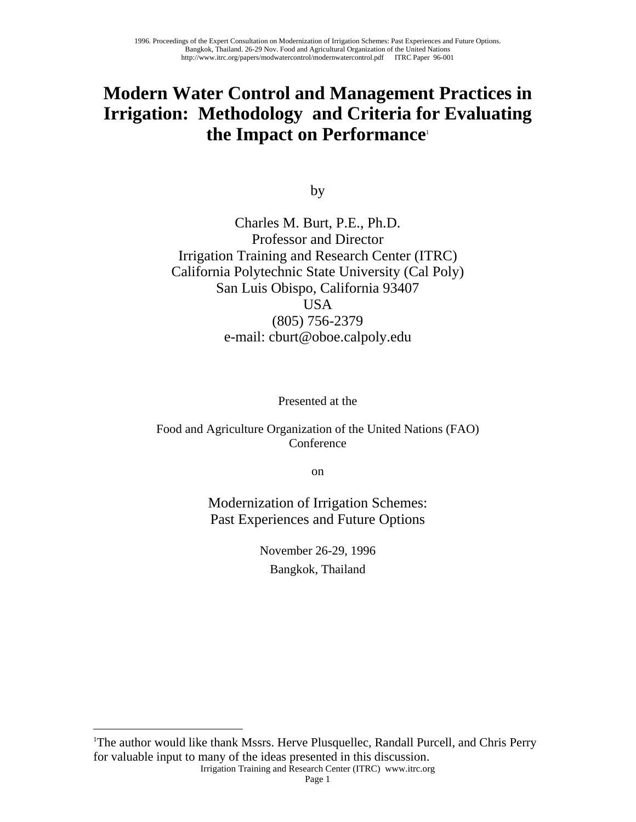# **Modern Water Control and Management Practices in Irrigation: Methodology and Criteria for Evaluating the Impact on Performance**[1](#page-0-0)

by

Charles M. Burt, P.E., Ph.D. Professor and Director Irrigation Training and Research Center (ITRC) California Polytechnic State University (Cal Poly) San Luis Obispo, California 93407 **USA** (805) 756-2379 e-mail: cburt@oboe.calpoly.edu

Presented at the

Food and Agriculture Organization of the United Nations (FAO) Conference

on

Modernization of Irrigation Schemes: Past Experiences and Future Options

> November 26-29, 1996 Bangkok, Thailand

<span id="page-0-0"></span><sup>1</sup>The author would like thank Mssrs. Herve Plusquellec, Randall Purcell, and Chris Perry for valuable input to many of the ideas presented in this discussion.

<u>.</u>

Irrigation Training and Research Center (ITRC) www.itrc.org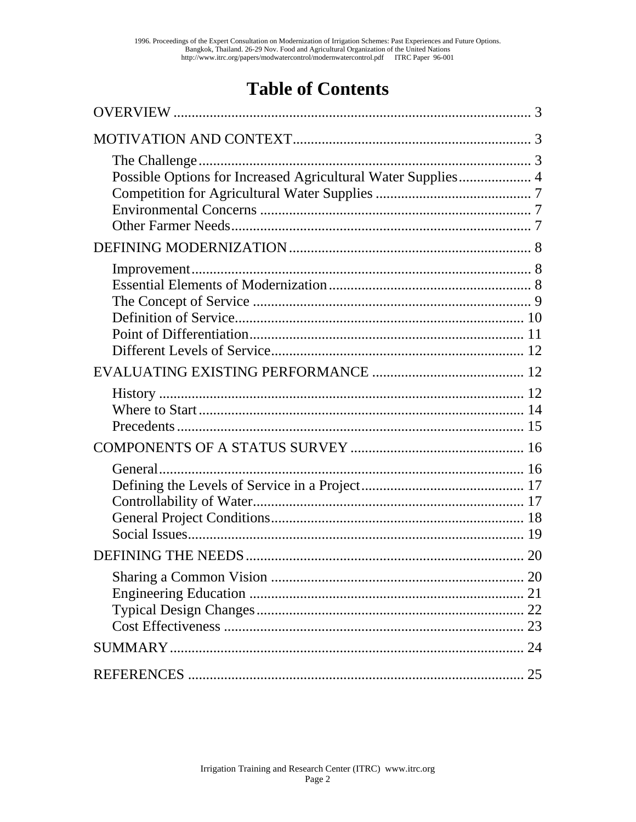# **Table of Contents**

| Possible Options for Increased Agricultural Water Supplies 4 |  |
|--------------------------------------------------------------|--|
|                                                              |  |
|                                                              |  |
|                                                              |  |
|                                                              |  |
| General                                                      |  |
|                                                              |  |
|                                                              |  |
|                                                              |  |
|                                                              |  |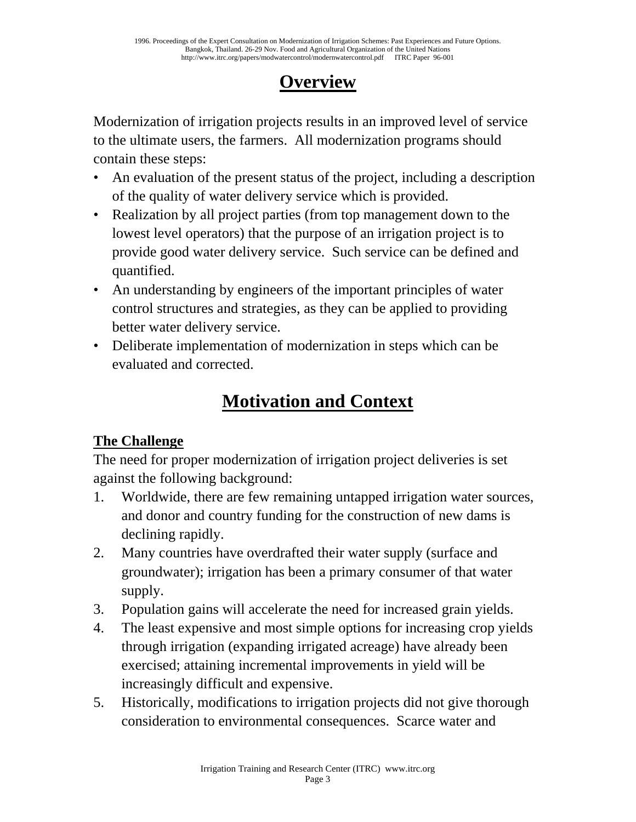# **Overview**

Modernization of irrigation projects results in an improved level of service to the ultimate users, the farmers. All modernization programs should contain these steps:

- An evaluation of the present status of the project, including a description of the quality of water delivery service which is provided.
- Realization by all project parties (from top management down to the lowest level operators) that the purpose of an irrigation project is to provide good water delivery service. Such service can be defined and quantified.
- An understanding by engineers of the important principles of water control structures and strategies, as they can be applied to providing better water delivery service.
- Deliberate implementation of modernization in steps which can be evaluated and corrected.

# **Motivation and Context**

# **The Challenge**

The need for proper modernization of irrigation project deliveries is set against the following background:

- 1. Worldwide, there are few remaining untapped irrigation water sources, and donor and country funding for the construction of new dams is declining rapidly.
- 2. Many countries have overdrafted their water supply (surface and groundwater); irrigation has been a primary consumer of that water supply.
- 3. Population gains will accelerate the need for increased grain yields.
- 4. The least expensive and most simple options for increasing crop yields through irrigation (expanding irrigated acreage) have already been exercised; attaining incremental improvements in yield will be increasingly difficult and expensive.
- 5. Historically, modifications to irrigation projects did not give thorough consideration to environmental consequences. Scarce water and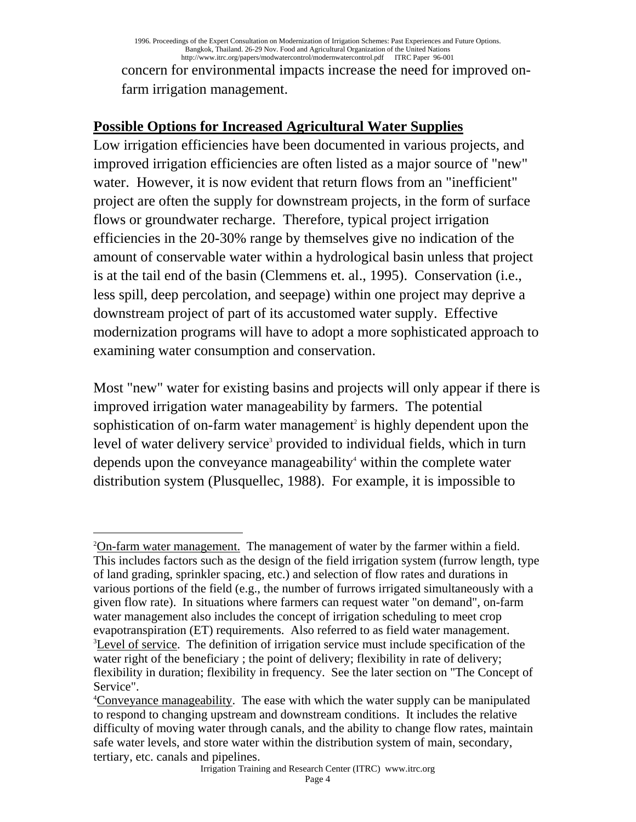concern for environmental impacts increase the need for improved onfarm irrigation management.

### **Possible Options for Increased Agricultural Water Supplies**

Low irrigation efficiencies have been documented in various projects, and improved irrigation efficiencies are often listed as a major source of "new" water. However, it is now evident that return flows from an "inefficient" project are often the supply for downstream projects, in the form of surface flows or groundwater recharge. Therefore, typical project irrigation efficiencies in the 20-30% range by themselves give no indication of the amount of conservable water within a hydrological basin unless that project is at the tail end of the basin (Clemmens et. al., 1995). Conservation (i.e., less spill, deep percolation, and seepage) within one project may deprive a downstream project of part of its accustomed water supply. Effective modernization programs will have to adopt a more sophisticated approach to examining water consumption and conservation.

Most "new" water for existing basins and projects will only appear if there is improved irrigation water manageability by farmers. The potential sophistication of on-farm water management<sup>[2](#page-3-0)</sup> is highly dependent upon the levelof water delivery service<sup>3</sup> provided to individual fields, which in turn dependsupon the conveyance manageability<sup>4</sup> within the complete water distribution system (Plusquellec, 1988). For example, it is impossible to

<span id="page-3-0"></span> $\overline{a}$  $2$ On-farm water management. The management of water by the farmer within a field. This includes factors such as the design of the field irrigation system (furrow length, type of land grading, sprinkler spacing, etc.) and selection of flow rates and durations in various portions of the field (e.g., the number of furrows irrigated simultaneously with a given flow rate). In situations where farmers can request water "on demand", on-farm water management also includes the concept of irrigation scheduling to meet crop evapotranspiration (ET) requirements. Also referred to as field water management. <sup>3</sup>Level of service. The definition of irrigation service must include specification of the water right of the beneficiary; the point of delivery; flexibility in rate of delivery; flexibility in duration; flexibility in frequency. See the later section on "The Concept of Service".

<span id="page-3-2"></span><span id="page-3-1"></span><sup>&</sup>lt;sup>4</sup>Conveyance manageability. The ease with which the water supply can be manipulated to respond to changing upstream and downstream conditions. It includes the relative difficulty of moving water through canals, and the ability to change flow rates, maintain safe water levels, and store water within the distribution system of main, secondary, tertiary, etc. canals and pipelines.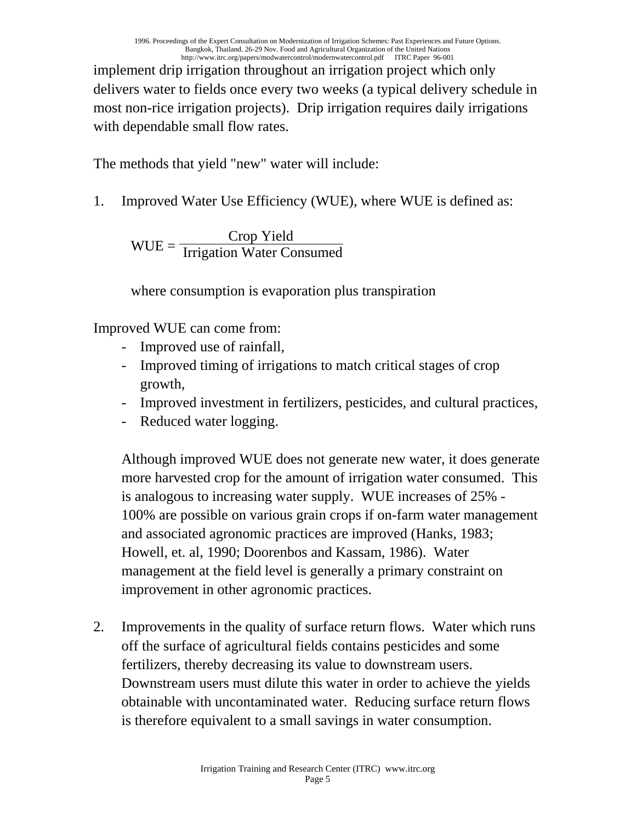implement drip irrigation throughout an irrigation project which only delivers water to fields once every two weeks (a typical delivery schedule in most non-rice irrigation projects). Drip irrigation requires daily irrigations with dependable small flow rates.

The methods that yield "new" water will include:

1. Improved Water Use Efficiency (WUE), where WUE is defined as:

$$
WUE = \frac{Crop Yield}{Irrigation Water Consumed}
$$

where consumption is evaporation plus transpiration

Improved WUE can come from:

- Improved use of rainfall,
- Improved timing of irrigations to match critical stages of crop growth,
- Improved investment in fertilizers, pesticides, and cultural practices,
- Reduced water logging.

Although improved WUE does not generate new water, it does generate more harvested crop for the amount of irrigation water consumed. This is analogous to increasing water supply. WUE increases of 25% - 100% are possible on various grain crops if on-farm water management and associated agronomic practices are improved (Hanks, 1983; Howell, et. al, 1990; Doorenbos and Kassam, 1986). Water management at the field level is generally a primary constraint on improvement in other agronomic practices.

2. Improvements in the quality of surface return flows. Water which runs off the surface of agricultural fields contains pesticides and some fertilizers, thereby decreasing its value to downstream users. Downstream users must dilute this water in order to achieve the yields obtainable with uncontaminated water. Reducing surface return flows is therefore equivalent to a small savings in water consumption.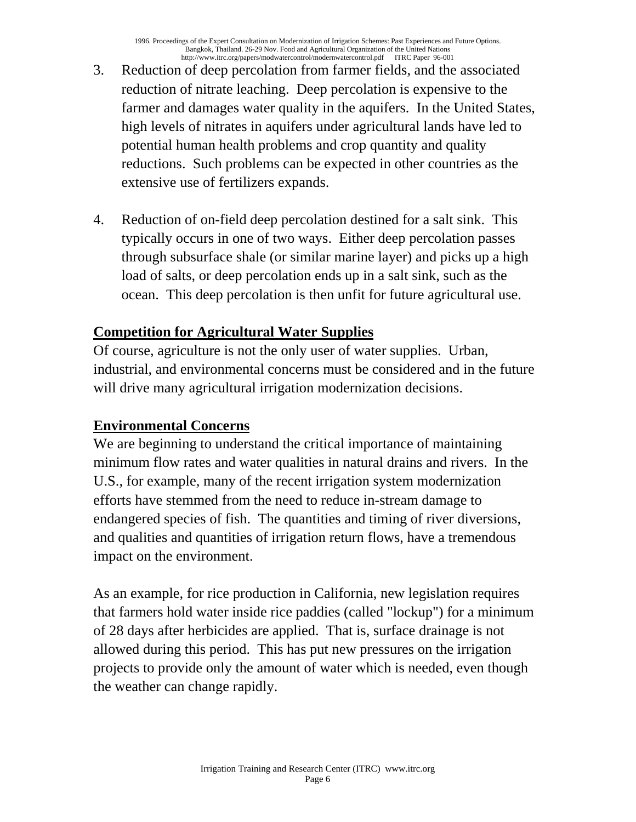- 3. Reduction of deep percolation from farmer fields, and the associated reduction of nitrate leaching. Deep percolation is expensive to the farmer and damages water quality in the aquifers. In the United States, high levels of nitrates in aquifers under agricultural lands have led to potential human health problems and crop quantity and quality reductions. Such problems can be expected in other countries as the extensive use of fertilizers expands.
- 4. Reduction of on-field deep percolation destined for a salt sink. This typically occurs in one of two ways. Either deep percolation passes through subsurface shale (or similar marine layer) and picks up a high load of salts, or deep percolation ends up in a salt sink, such as the ocean. This deep percolation is then unfit for future agricultural use.

## **Competition for Agricultural Water Supplies**

Of course, agriculture is not the only user of water supplies. Urban, industrial, and environmental concerns must be considered and in the future will drive many agricultural irrigation modernization decisions.

### **Environmental Concerns**

We are beginning to understand the critical importance of maintaining minimum flow rates and water qualities in natural drains and rivers. In the U.S., for example, many of the recent irrigation system modernization efforts have stemmed from the need to reduce in-stream damage to endangered species of fish. The quantities and timing of river diversions, and qualities and quantities of irrigation return flows, have a tremendous impact on the environment.

As an example, for rice production in California, new legislation requires that farmers hold water inside rice paddies (called "lockup") for a minimum of 28 days after herbicides are applied. That is, surface drainage is not allowed during this period. This has put new pressures on the irrigation projects to provide only the amount of water which is needed, even though the weather can change rapidly.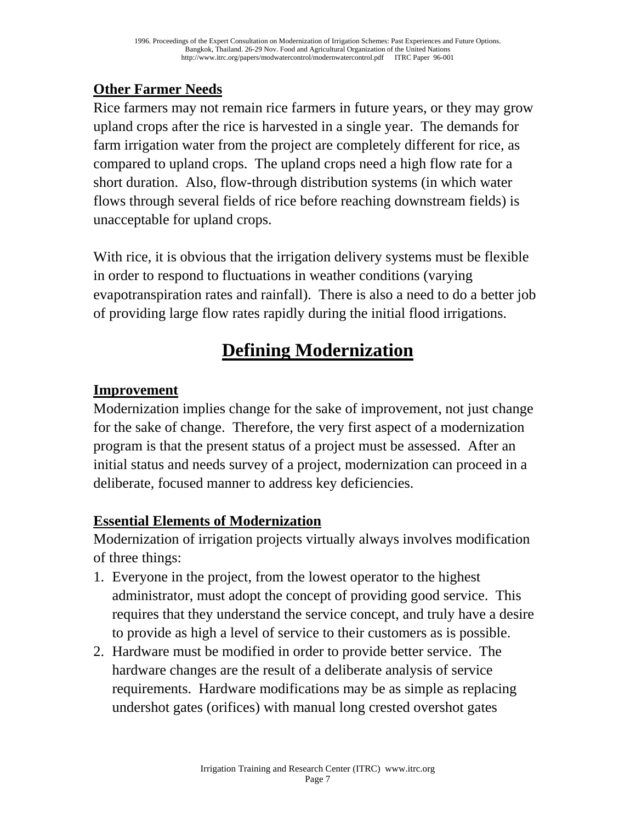## **Other Farmer Needs**

Rice farmers may not remain rice farmers in future years, or they may grow upland crops after the rice is harvested in a single year. The demands for farm irrigation water from the project are completely different for rice, as compared to upland crops. The upland crops need a high flow rate for a short duration. Also, flow-through distribution systems (in which water flows through several fields of rice before reaching downstream fields) is unacceptable for upland crops.

With rice, it is obvious that the irrigation delivery systems must be flexible in order to respond to fluctuations in weather conditions (varying evapotranspiration rates and rainfall). There is also a need to do a better job of providing large flow rates rapidly during the initial flood irrigations.

# **Defining Modernization**

## **Improvement**

Modernization implies change for the sake of improvement, not just change for the sake of change. Therefore, the very first aspect of a modernization program is that the present status of a project must be assessed. After an initial status and needs survey of a project, modernization can proceed in a deliberate, focused manner to address key deficiencies.

### **Essential Elements of Modernization**

Modernization of irrigation projects virtually always involves modification of three things:

- 1. Everyone in the project, from the lowest operator to the highest administrator, must adopt the concept of providing good service. This requires that they understand the service concept, and truly have a desire to provide as high a level of service to their customers as is possible.
- 2. Hardware must be modified in order to provide better service. The hardware changes are the result of a deliberate analysis of service requirements. Hardware modifications may be as simple as replacing undershot gates (orifices) with manual long crested overshot gates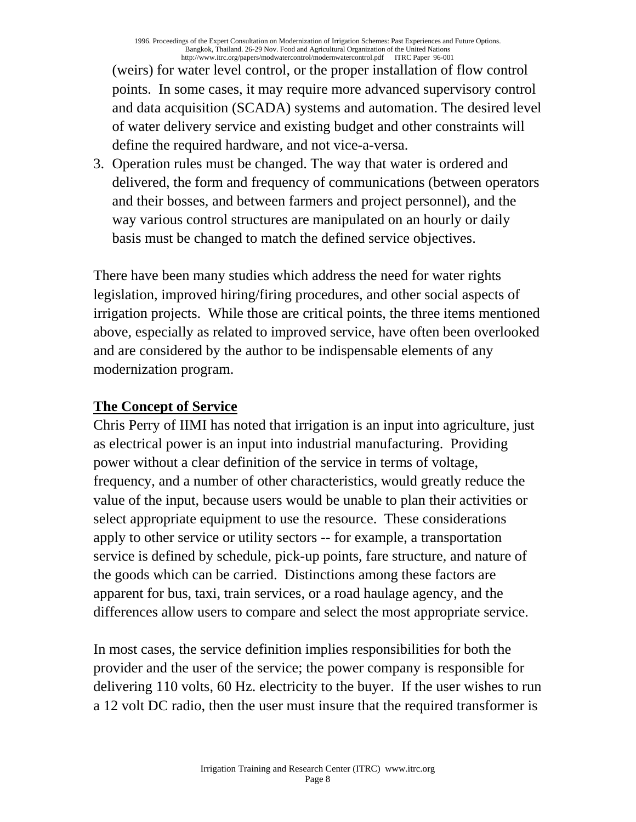(weirs) for water level control, or the proper installation of flow control points. In some cases, it may require more advanced supervisory control and data acquisition (SCADA) systems and automation. The desired level of water delivery service and existing budget and other constraints will define the required hardware, and not vice-a-versa.

3. Operation rules must be changed. The way that water is ordered and delivered, the form and frequency of communications (between operators and their bosses, and between farmers and project personnel), and the way various control structures are manipulated on an hourly or daily basis must be changed to match the defined service objectives.

There have been many studies which address the need for water rights legislation, improved hiring/firing procedures, and other social aspects of irrigation projects. While those are critical points, the three items mentioned above, especially as related to improved service, have often been overlooked and are considered by the author to be indispensable elements of any modernization program.

## **The Concept of Service**

Chris Perry of IIMI has noted that irrigation is an input into agriculture, just as electrical power is an input into industrial manufacturing. Providing power without a clear definition of the service in terms of voltage, frequency, and a number of other characteristics, would greatly reduce the value of the input, because users would be unable to plan their activities or select appropriate equipment to use the resource. These considerations apply to other service or utility sectors -- for example, a transportation service is defined by schedule, pick-up points, fare structure, and nature of the goods which can be carried. Distinctions among these factors are apparent for bus, taxi, train services, or a road haulage agency, and the differences allow users to compare and select the most appropriate service.

In most cases, the service definition implies responsibilities for both the provider and the user of the service; the power company is responsible for delivering 110 volts, 60 Hz. electricity to the buyer. If the user wishes to run a 12 volt DC radio, then the user must insure that the required transformer is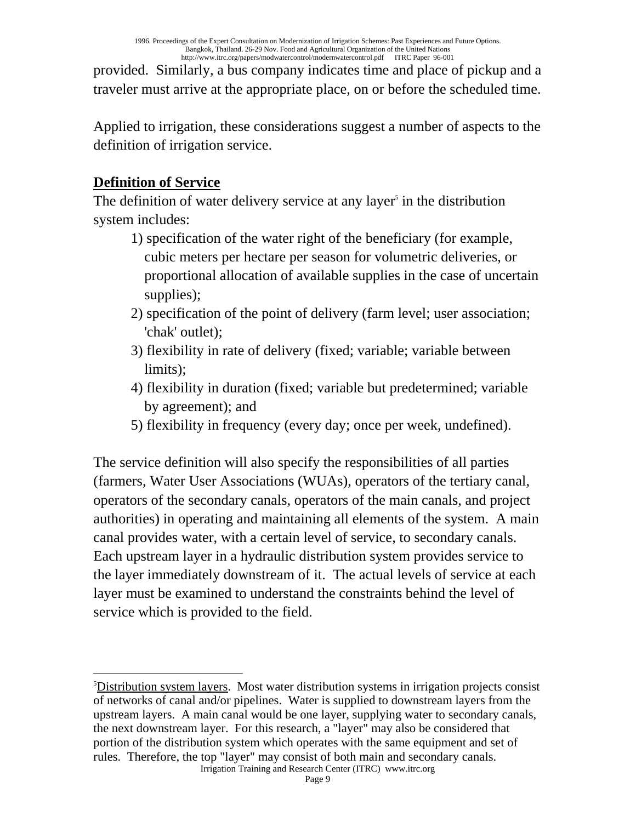provided. Similarly, a bus company indicates time and place of pickup and a traveler must arrive at the appropriate place, on or before the scheduled time.

Applied to irrigation, these considerations suggest a number of aspects to the definition of irrigation service.

## **Definition of Service**

The definition of water delivery service at any layer<sup> $\delta$ </sup> in the distribution system includes:

- 1) specification of the water right of the beneficiary (for example, cubic meters per hectare per season for volumetric deliveries, or proportional allocation of available supplies in the case of uncertain supplies);
- 2) specification of the point of delivery (farm level; user association; 'chak' outlet);
- 3) flexibility in rate of delivery (fixed; variable; variable between limits);
- 4) flexibility in duration (fixed; variable but predetermined; variable by agreement); and
- 5) flexibility in frequency (every day; once per week, undefined).

The service definition will also specify the responsibilities of all parties (farmers, Water User Associations (WUAs), operators of the tertiary canal, operators of the secondary canals, operators of the main canals, and project authorities) in operating and maintaining all elements of the system. A main canal provides water, with a certain level of service, to secondary canals. Each upstream layer in a hydraulic distribution system provides service to the layer immediately downstream of it. The actual levels of service at each layer must be examined to understand the constraints behind the level of service which is provided to the field.

<span id="page-8-0"></span>Irrigation Training and Research Center (ITRC) www.itrc.org  $\overline{a}$ <sup>5</sup>Distribution system layers. Most water distribution systems in irrigation projects consist of networks of canal and/or pipelines. Water is supplied to downstream layers from the upstream layers. A main canal would be one layer, supplying water to secondary canals, the next downstream layer. For this research, a "layer" may also be considered that portion of the distribution system which operates with the same equipment and set of rules. Therefore, the top "layer" may consist of both main and secondary canals.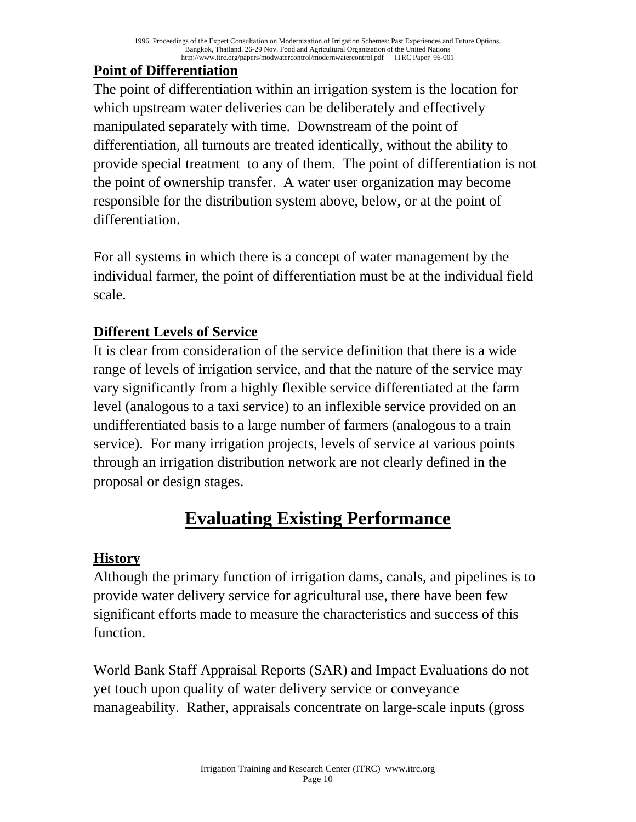# **Point of Differentiation**

The point of differentiation within an irrigation system is the location for which upstream water deliveries can be deliberately and effectively manipulated separately with time. Downstream of the point of differentiation, all turnouts are treated identically, without the ability to provide special treatment to any of them. The point of differentiation is not the point of ownership transfer. A water user organization may become responsible for the distribution system above, below, or at the point of differentiation.

For all systems in which there is a concept of water management by the individual farmer, the point of differentiation must be at the individual field scale.

# **Different Levels of Service**

It is clear from consideration of the service definition that there is a wide range of levels of irrigation service, and that the nature of the service may vary significantly from a highly flexible service differentiated at the farm level (analogous to a taxi service) to an inflexible service provided on an undifferentiated basis to a large number of farmers (analogous to a train service). For many irrigation projects, levels of service at various points through an irrigation distribution network are not clearly defined in the proposal or design stages.

# **Evaluating Existing Performance**

# **History**

Although the primary function of irrigation dams, canals, and pipelines is to provide water delivery service for agricultural use, there have been few significant efforts made to measure the characteristics and success of this function.

World Bank Staff Appraisal Reports (SAR) and Impact Evaluations do not yet touch upon quality of water delivery service or conveyance manageability. Rather, appraisals concentrate on large-scale inputs (gross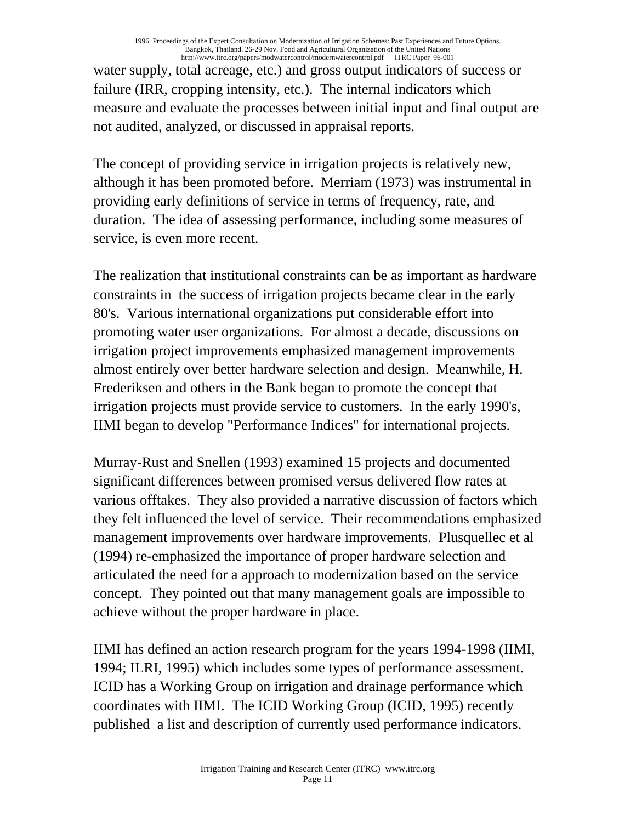#### 1996. Proceedings of the Expert Consultation on Modernization of Irrigation Schemes: Past Experiences and Future Options. Bangkok, Thailand. 26-29 Nov. Food and Agricultural Organization of the United Nations http://www.itrc.org/papers/modwatercontrol/modernwatercontrol.pdf ITRC Paper 96-001

water supply, total acreage, etc.) and gross output indicators of success or failure (IRR, cropping intensity, etc.). The internal indicators which measure and evaluate the processes between initial input and final output are not audited, analyzed, or discussed in appraisal reports.

The concept of providing service in irrigation projects is relatively new, although it has been promoted before. Merriam (1973) was instrumental in providing early definitions of service in terms of frequency, rate, and duration. The idea of assessing performance, including some measures of service, is even more recent.

The realization that institutional constraints can be as important as hardware constraints in the success of irrigation projects became clear in the early 80's. Various international organizations put considerable effort into promoting water user organizations. For almost a decade, discussions on irrigation project improvements emphasized management improvements almost entirely over better hardware selection and design. Meanwhile, H. Frederiksen and others in the Bank began to promote the concept that irrigation projects must provide service to customers. In the early 1990's, IIMI began to develop "Performance Indices" for international projects.

Murray-Rust and Snellen (1993) examined 15 projects and documented significant differences between promised versus delivered flow rates at various offtakes. They also provided a narrative discussion of factors which they felt influenced the level of service. Their recommendations emphasized management improvements over hardware improvements. Plusquellec et al (1994) re-emphasized the importance of proper hardware selection and articulated the need for a approach to modernization based on the service concept. They pointed out that many management goals are impossible to achieve without the proper hardware in place.

IIMI has defined an action research program for the years 1994-1998 (IIMI, 1994; ILRI, 1995) which includes some types of performance assessment. ICID has a Working Group on irrigation and drainage performance which coordinates with IIMI. The ICID Working Group (ICID, 1995) recently published a list and description of currently used performance indicators.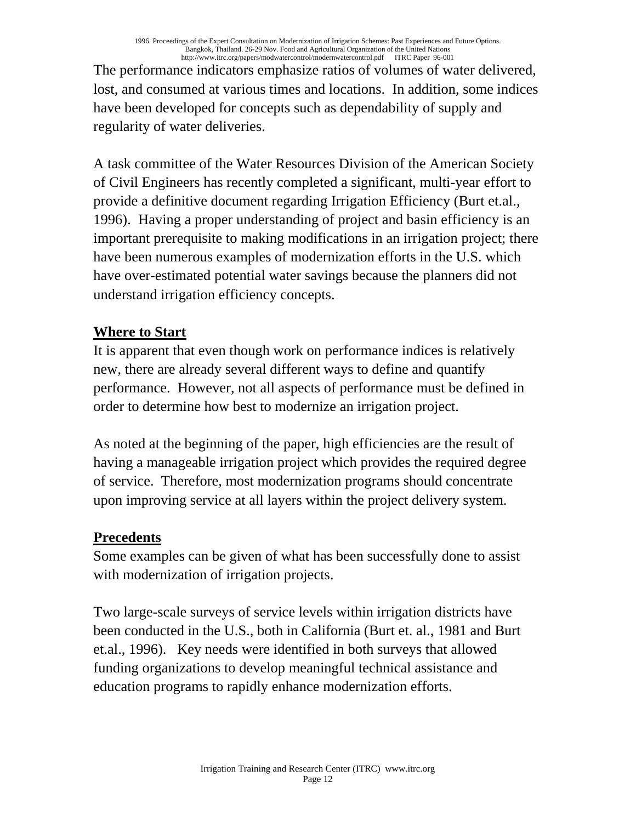The performance indicators emphasize ratios of volumes of water delivered, lost, and consumed at various times and locations. In addition, some indices have been developed for concepts such as dependability of supply and regularity of water deliveries.

A task committee of the Water Resources Division of the American Society of Civil Engineers has recently completed a significant, multi-year effort to provide a definitive document regarding Irrigation Efficiency (Burt et.al., 1996). Having a proper understanding of project and basin efficiency is an important prerequisite to making modifications in an irrigation project; there have been numerous examples of modernization efforts in the U.S. which have over-estimated potential water savings because the planners did not understand irrigation efficiency concepts.

## **Where to Start**

It is apparent that even though work on performance indices is relatively new, there are already several different ways to define and quantify performance. However, not all aspects of performance must be defined in order to determine how best to modernize an irrigation project.

As noted at the beginning of the paper, high efficiencies are the result of having a manageable irrigation project which provides the required degree of service. Therefore, most modernization programs should concentrate upon improving service at all layers within the project delivery system.

### **Precedents**

Some examples can be given of what has been successfully done to assist with modernization of irrigation projects.

Two large-scale surveys of service levels within irrigation districts have been conducted in the U.S., both in California (Burt et. al., 1981 and Burt et.al., 1996). Key needs were identified in both surveys that allowed funding organizations to develop meaningful technical assistance and education programs to rapidly enhance modernization efforts.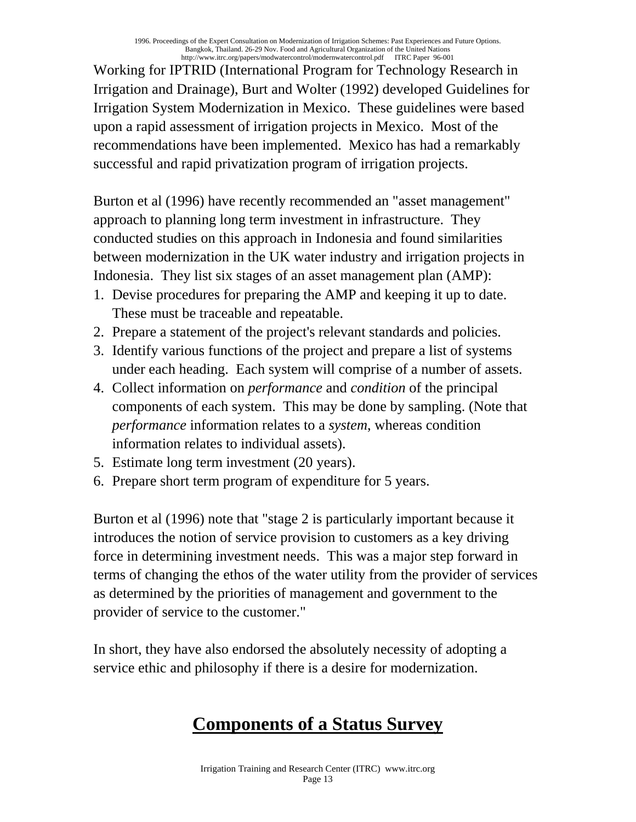Working for IPTRID (International Program for Technology Research in Irrigation and Drainage), Burt and Wolter (1992) developed Guidelines for Irrigation System Modernization in Mexico. These guidelines were based upon a rapid assessment of irrigation projects in Mexico. Most of the recommendations have been implemented. Mexico has had a remarkably successful and rapid privatization program of irrigation projects.

Burton et al (1996) have recently recommended an "asset management" approach to planning long term investment in infrastructure. They conducted studies on this approach in Indonesia and found similarities between modernization in the UK water industry and irrigation projects in Indonesia. They list six stages of an asset management plan (AMP):

- 1. Devise procedures for preparing the AMP and keeping it up to date. These must be traceable and repeatable.
- 2. Prepare a statement of the project's relevant standards and policies.
- 3. Identify various functions of the project and prepare a list of systems under each heading. Each system will comprise of a number of assets.
- 4. Collect information on *performance* and *condition* of the principal components of each system. This may be done by sampling. (Note that *performance* information relates to a *system*, whereas condition information relates to individual assets).
- 5. Estimate long term investment (20 years).
- 6. Prepare short term program of expenditure for 5 years.

Burton et al (1996) note that "stage 2 is particularly important because it introduces the notion of service provision to customers as a key driving force in determining investment needs. This was a major step forward in terms of changing the ethos of the water utility from the provider of services as determined by the priorities of management and government to the provider of service to the customer."

In short, they have also endorsed the absolutely necessity of adopting a service ethic and philosophy if there is a desire for modernization.

# **Components of a Status Survey**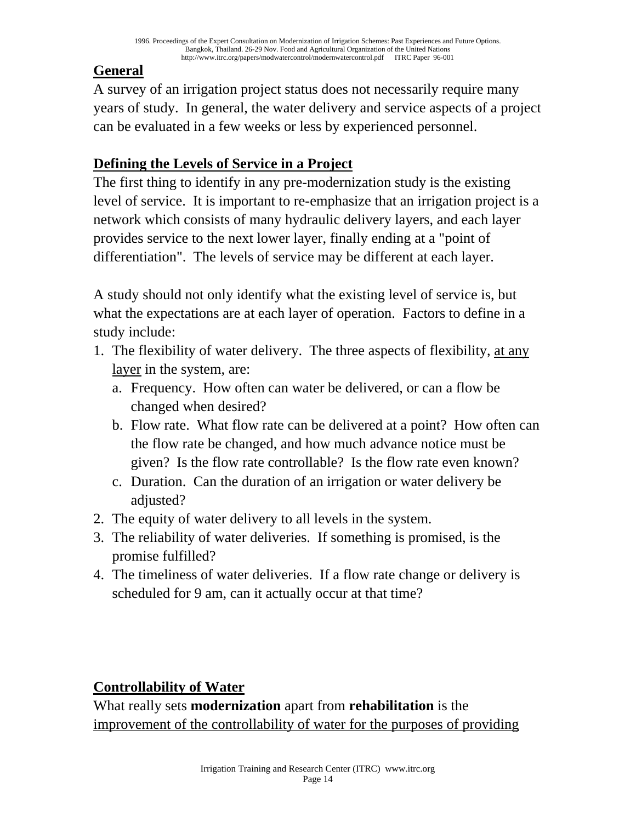# **General**

A survey of an irrigation project status does not necessarily require many years of study. In general, the water delivery and service aspects of a project can be evaluated in a few weeks or less by experienced personnel.

# **Defining the Levels of Service in a Project**

The first thing to identify in any pre-modernization study is the existing level of service. It is important to re-emphasize that an irrigation project is a network which consists of many hydraulic delivery layers, and each layer provides service to the next lower layer, finally ending at a "point of differentiation". The levels of service may be different at each layer.

A study should not only identify what the existing level of service is, but what the expectations are at each layer of operation. Factors to define in a study include:

- 1. The flexibility of water delivery. The three aspects of flexibility, at any layer in the system, are:
	- a. Frequency. How often can water be delivered, or can a flow be changed when desired?
	- b. Flow rate. What flow rate can be delivered at a point? How often can the flow rate be changed, and how much advance notice must be given? Is the flow rate controllable? Is the flow rate even known?
	- c. Duration. Can the duration of an irrigation or water delivery be adjusted?
- 2. The equity of water delivery to all levels in the system.
- 3. The reliability of water deliveries. If something is promised, is the promise fulfilled?
- 4. The timeliness of water deliveries. If a flow rate change or delivery is scheduled for 9 am, can it actually occur at that time?

## **Controllability of Water**

What really sets **modernization** apart from **rehabilitation** is the improvement of the controllability of water for the purposes of providing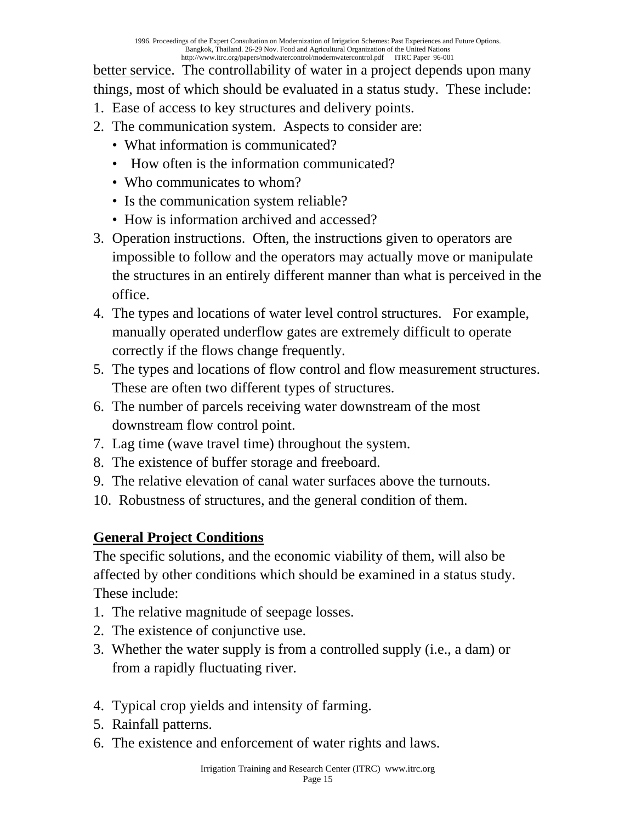better service. The controllability of water in a project depends upon many things, most of which should be evaluated in a status study. These include:

- 1. Ease of access to key structures and delivery points.
- 2. The communication system. Aspects to consider are:
	- What information is communicated?
	- How often is the information communicated?
	- Who communicates to whom?
	- Is the communication system reliable?
	- How is information archived and accessed?
- 3. Operation instructions. Often, the instructions given to operators are impossible to follow and the operators may actually move or manipulate the structures in an entirely different manner than what is perceived in the office.
- 4. The types and locations of water level control structures. For example, manually operated underflow gates are extremely difficult to operate correctly if the flows change frequently.
- 5. The types and locations of flow control and flow measurement structures. These are often two different types of structures.
- 6. The number of parcels receiving water downstream of the most downstream flow control point.
- 7. Lag time (wave travel time) throughout the system.
- 8. The existence of buffer storage and freeboard.
- 9. The relative elevation of canal water surfaces above the turnouts.
- 10. Robustness of structures, and the general condition of them.

## **General Project Conditions**

The specific solutions, and the economic viability of them, will also be affected by other conditions which should be examined in a status study. These include:

- 1. The relative magnitude of seepage losses.
- 2. The existence of conjunctive use.
- 3. Whether the water supply is from a controlled supply (i.e., a dam) or from a rapidly fluctuating river.
- 4. Typical crop yields and intensity of farming.
- 5. Rainfall patterns.
- 6. The existence and enforcement of water rights and laws.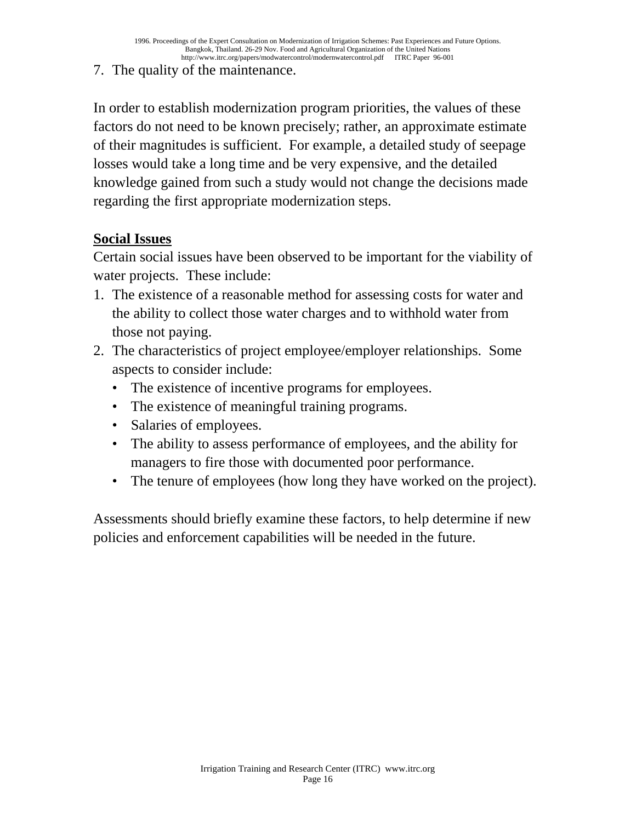7. The quality of the maintenance.

In order to establish modernization program priorities, the values of these factors do not need to be known precisely; rather, an approximate estimate of their magnitudes is sufficient. For example, a detailed study of seepage losses would take a long time and be very expensive, and the detailed knowledge gained from such a study would not change the decisions made regarding the first appropriate modernization steps.

### **Social Issues**

Certain social issues have been observed to be important for the viability of water projects. These include:

- 1. The existence of a reasonable method for assessing costs for water and the ability to collect those water charges and to withhold water from those not paying.
- 2. The characteristics of project employee/employer relationships. Some aspects to consider include:
	- The existence of incentive programs for employees.
	- The existence of meaningful training programs.
	- Salaries of employees.
	- The ability to assess performance of employees, and the ability for managers to fire those with documented poor performance.
	- The tenure of employees (how long they have worked on the project).

Assessments should briefly examine these factors, to help determine if new policies and enforcement capabilities will be needed in the future.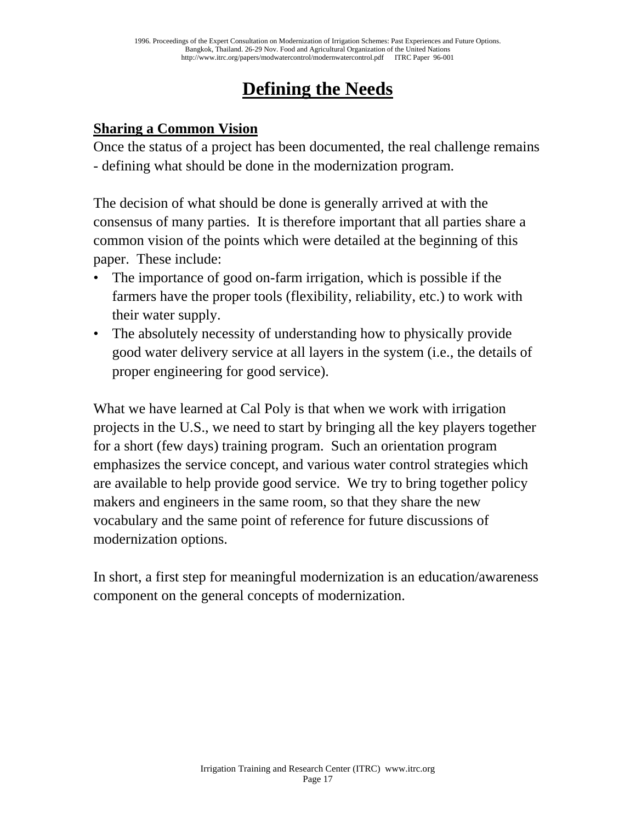# **Defining the Needs**

### **Sharing a Common Vision**

Once the status of a project has been documented, the real challenge remains - defining what should be done in the modernization program.

The decision of what should be done is generally arrived at with the consensus of many parties. It is therefore important that all parties share a common vision of the points which were detailed at the beginning of this paper. These include:

- The importance of good on-farm irrigation, which is possible if the farmers have the proper tools (flexibility, reliability, etc.) to work with their water supply.
- The absolutely necessity of understanding how to physically provide good water delivery service at all layers in the system (i.e., the details of proper engineering for good service).

What we have learned at Cal Poly is that when we work with irrigation projects in the U.S., we need to start by bringing all the key players together for a short (few days) training program. Such an orientation program emphasizes the service concept, and various water control strategies which are available to help provide good service. We try to bring together policy makers and engineers in the same room, so that they share the new vocabulary and the same point of reference for future discussions of modernization options.

In short, a first step for meaningful modernization is an education/awareness component on the general concepts of modernization.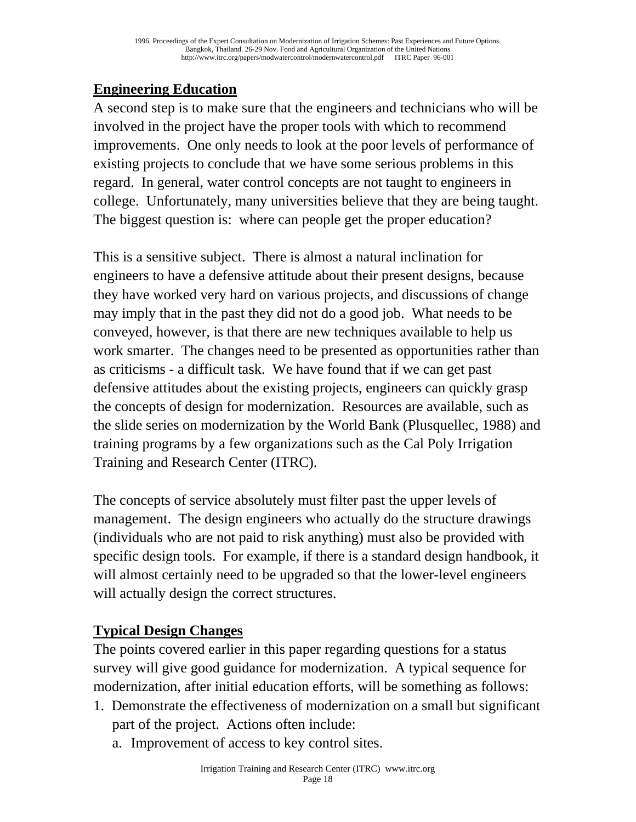## **Engineering Education**

A second step is to make sure that the engineers and technicians who will be involved in the project have the proper tools with which to recommend improvements. One only needs to look at the poor levels of performance of existing projects to conclude that we have some serious problems in this regard. In general, water control concepts are not taught to engineers in college. Unfortunately, many universities believe that they are being taught. The biggest question is: where can people get the proper education?

This is a sensitive subject. There is almost a natural inclination for engineers to have a defensive attitude about their present designs, because they have worked very hard on various projects, and discussions of change may imply that in the past they did not do a good job. What needs to be conveyed, however, is that there are new techniques available to help us work smarter. The changes need to be presented as opportunities rather than as criticisms - a difficult task. We have found that if we can get past defensive attitudes about the existing projects, engineers can quickly grasp the concepts of design for modernization. Resources are available, such as the slide series on modernization by the World Bank (Plusquellec, 1988) and training programs by a few organizations such as the Cal Poly Irrigation Training and Research Center (ITRC).

The concepts of service absolutely must filter past the upper levels of management. The design engineers who actually do the structure drawings (individuals who are not paid to risk anything) must also be provided with specific design tools. For example, if there is a standard design handbook, it will almost certainly need to be upgraded so that the lower-level engineers will actually design the correct structures.

### **Typical Design Changes**

The points covered earlier in this paper regarding questions for a status survey will give good guidance for modernization. A typical sequence for modernization, after initial education efforts, will be something as follows:

- 1. Demonstrate the effectiveness of modernization on a small but significant part of the project. Actions often include:
	- a. Improvement of access to key control sites.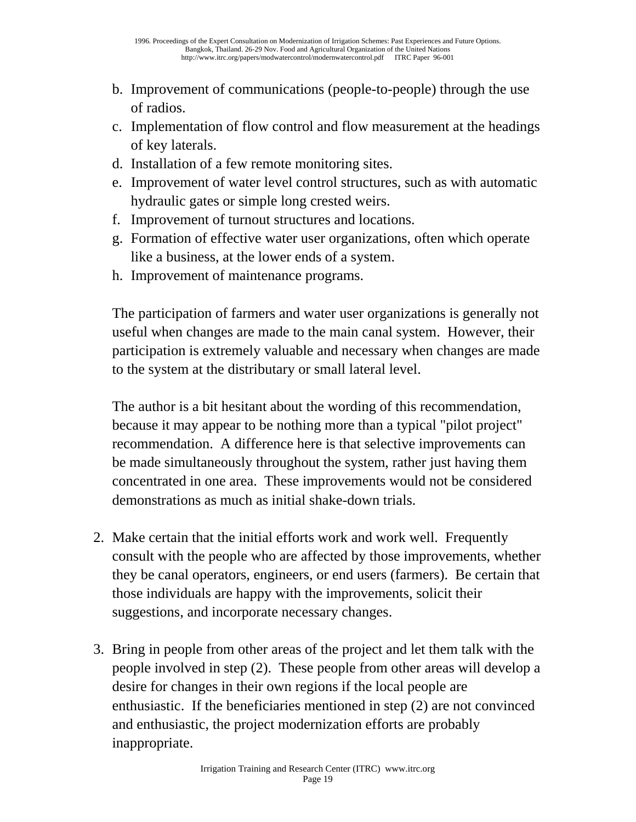- b. Improvement of communications (people-to-people) through the use of radios.
- c. Implementation of flow control and flow measurement at the headings of key laterals.
- d. Installation of a few remote monitoring sites.
- e. Improvement of water level control structures, such as with automatic hydraulic gates or simple long crested weirs.
- f. Improvement of turnout structures and locations.
- g. Formation of effective water user organizations, often which operate like a business, at the lower ends of a system.
- h. Improvement of maintenance programs.

 The participation of farmers and water user organizations is generally not useful when changes are made to the main canal system. However, their participation is extremely valuable and necessary when changes are made to the system at the distributary or small lateral level.

 The author is a bit hesitant about the wording of this recommendation, because it may appear to be nothing more than a typical "pilot project" recommendation. A difference here is that selective improvements can be made simultaneously throughout the system, rather just having them concentrated in one area. These improvements would not be considered demonstrations as much as initial shake-down trials.

- 2. Make certain that the initial efforts work and work well. Frequently consult with the people who are affected by those improvements, whether they be canal operators, engineers, or end users (farmers). Be certain that those individuals are happy with the improvements, solicit their suggestions, and incorporate necessary changes.
- 3. Bring in people from other areas of the project and let them talk with the people involved in step (2). These people from other areas will develop a desire for changes in their own regions if the local people are enthusiastic. If the beneficiaries mentioned in step (2) are not convinced and enthusiastic, the project modernization efforts are probably inappropriate.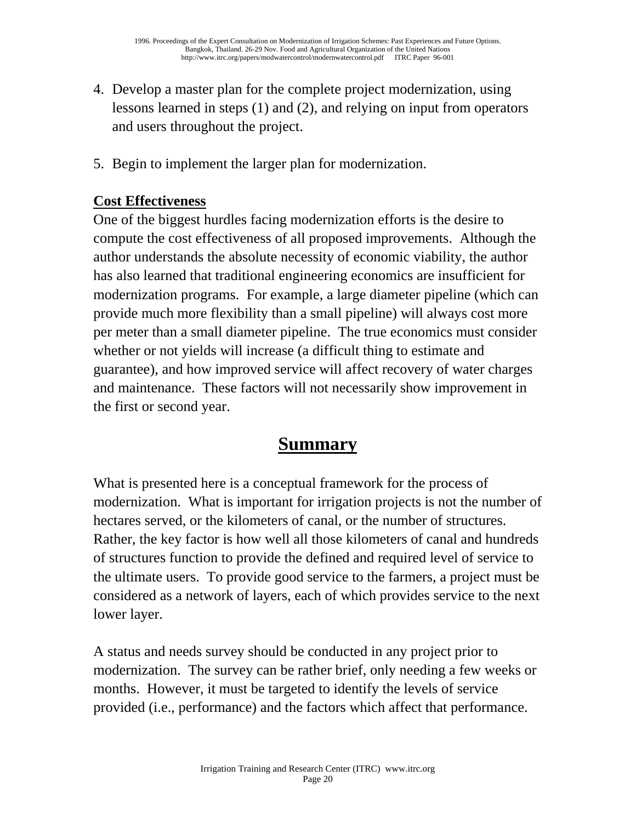- 4. Develop a master plan for the complete project modernization, using lessons learned in steps (1) and (2), and relying on input from operators and users throughout the project.
- 5. Begin to implement the larger plan for modernization.

## **Cost Effectiveness**

One of the biggest hurdles facing modernization efforts is the desire to compute the cost effectiveness of all proposed improvements. Although the author understands the absolute necessity of economic viability, the author has also learned that traditional engineering economics are insufficient for modernization programs. For example, a large diameter pipeline (which can provide much more flexibility than a small pipeline) will always cost more per meter than a small diameter pipeline. The true economics must consider whether or not yields will increase (a difficult thing to estimate and guarantee), and how improved service will affect recovery of water charges and maintenance. These factors will not necessarily show improvement in the first or second year.

# **Summary**

What is presented here is a conceptual framework for the process of modernization. What is important for irrigation projects is not the number of hectares served, or the kilometers of canal, or the number of structures. Rather, the key factor is how well all those kilometers of canal and hundreds of structures function to provide the defined and required level of service to the ultimate users. To provide good service to the farmers, a project must be considered as a network of layers, each of which provides service to the next lower layer.

A status and needs survey should be conducted in any project prior to modernization. The survey can be rather brief, only needing a few weeks or months. However, it must be targeted to identify the levels of service provided (i.e., performance) and the factors which affect that performance.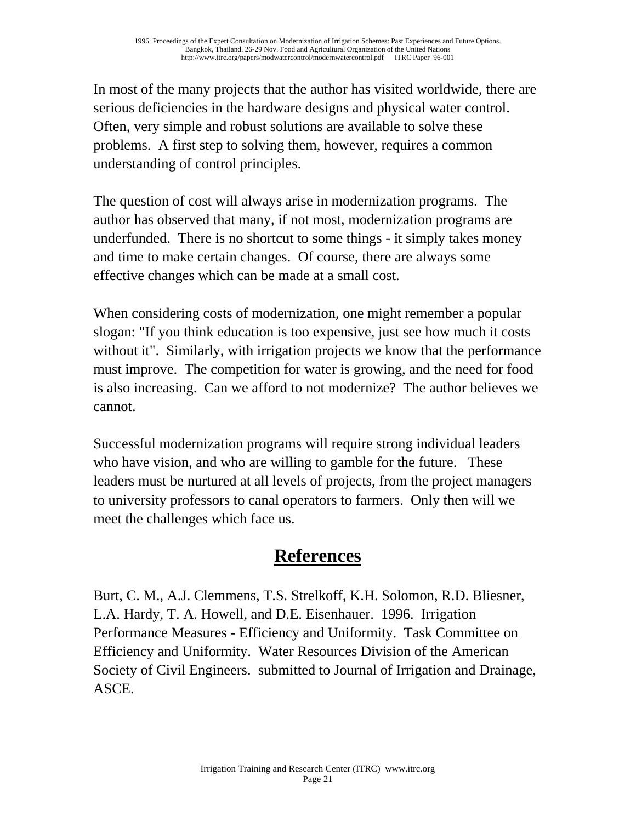In most of the many projects that the author has visited worldwide, there are serious deficiencies in the hardware designs and physical water control. Often, very simple and robust solutions are available to solve these problems. A first step to solving them, however, requires a common understanding of control principles.

The question of cost will always arise in modernization programs. The author has observed that many, if not most, modernization programs are underfunded. There is no shortcut to some things - it simply takes money and time to make certain changes. Of course, there are always some effective changes which can be made at a small cost.

When considering costs of modernization, one might remember a popular slogan: "If you think education is too expensive, just see how much it costs without it". Similarly, with irrigation projects we know that the performance must improve. The competition for water is growing, and the need for food is also increasing. Can we afford to not modernize? The author believes we cannot.

Successful modernization programs will require strong individual leaders who have vision, and who are willing to gamble for the future. These leaders must be nurtured at all levels of projects, from the project managers to university professors to canal operators to farmers. Only then will we meet the challenges which face us.

# **References**

Burt, C. M., A.J. Clemmens, T.S. Strelkoff, K.H. Solomon, R.D. Bliesner, L.A. Hardy, T. A. Howell, and D.E. Eisenhauer. 1996. Irrigation Performance Measures - Efficiency and Uniformity. Task Committee on Efficiency and Uniformity. Water Resources Division of the American Society of Civil Engineers. submitted to Journal of Irrigation and Drainage, ASCE.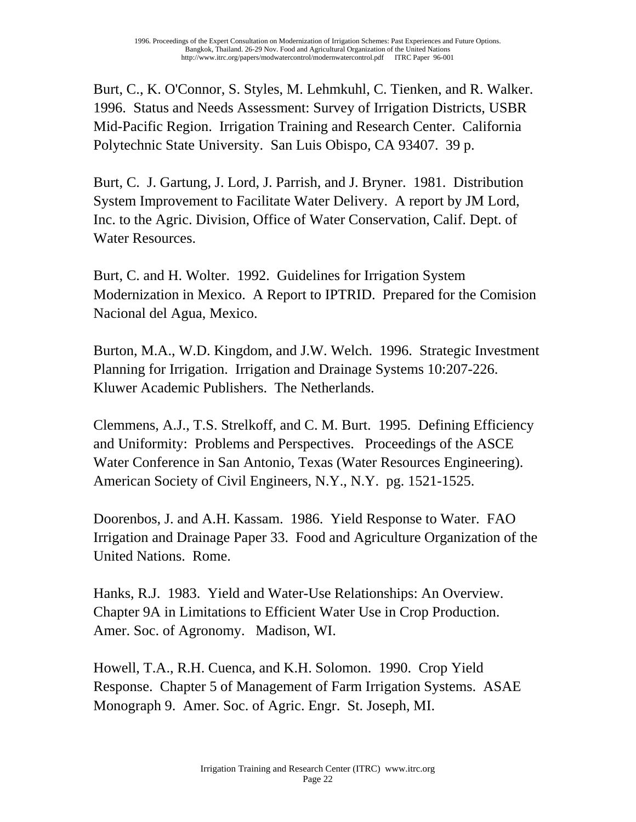Burt, C., K. O'Connor, S. Styles, M. Lehmkuhl, C. Tienken, and R. Walker. 1996. Status and Needs Assessment: Survey of Irrigation Districts, USBR Mid-Pacific Region. Irrigation Training and Research Center. California Polytechnic State University. San Luis Obispo, CA 93407. 39 p.

Burt, C. J. Gartung, J. Lord, J. Parrish, and J. Bryner. 1981. Distribution System Improvement to Facilitate Water Delivery. A report by JM Lord, Inc. to the Agric. Division, Office of Water Conservation, Calif. Dept. of Water Resources.

Burt, C. and H. Wolter. 1992. Guidelines for Irrigation System Modernization in Mexico. A Report to IPTRID. Prepared for the Comision Nacional del Agua, Mexico.

Burton, M.A., W.D. Kingdom, and J.W. Welch. 1996. Strategic Investment Planning for Irrigation. Irrigation and Drainage Systems 10:207-226. Kluwer Academic Publishers. The Netherlands.

Clemmens, A.J., T.S. Strelkoff, and C. M. Burt. 1995. Defining Efficiency and Uniformity: Problems and Perspectives. Proceedings of the ASCE Water Conference in San Antonio, Texas (Water Resources Engineering). American Society of Civil Engineers, N.Y., N.Y. pg. 1521-1525.

Doorenbos, J. and A.H. Kassam. 1986. Yield Response to Water. FAO Irrigation and Drainage Paper 33. Food and Agriculture Organization of the United Nations. Rome.

Hanks, R.J. 1983. Yield and Water-Use Relationships: An Overview. Chapter 9A in Limitations to Efficient Water Use in Crop Production. Amer. Soc. of Agronomy. Madison, WI.

Howell, T.A., R.H. Cuenca, and K.H. Solomon. 1990. Crop Yield Response. Chapter 5 of Management of Farm Irrigation Systems. ASAE Monograph 9. Amer. Soc. of Agric. Engr. St. Joseph, MI.